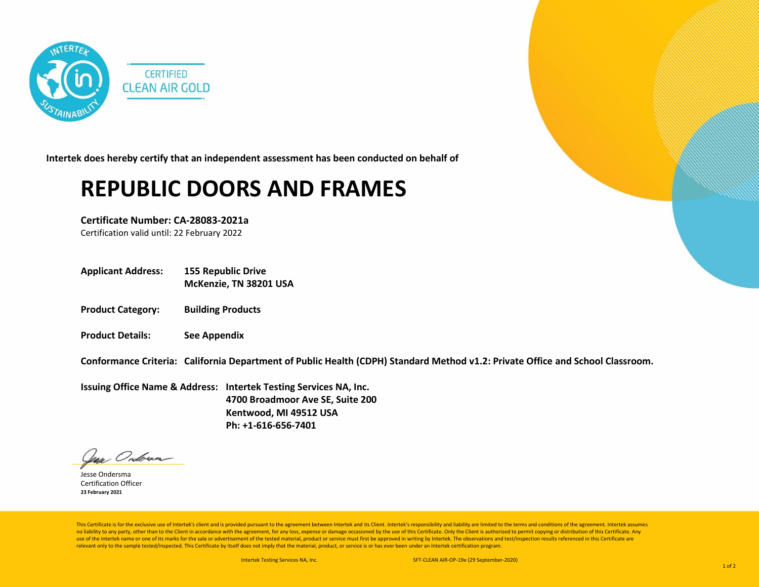

**Intertek does hereby certify that an independent assessment has been conducted on behalf of**

## **REPUBLIC DOORS AND FRAMES**

**Certificate Number: CA-28083-2021a**

Certification valid until: 22 February 2022

**Applicant Address: 155 Republic Drive**

**McKenzie, TN 38201 USA**

- **Product Category: Building Products**
- **Product Details: See Appendix**

**Conformance Criteria: California Department of Public Health (CDPH) Standard Method v1.2: Private Office and School Classroom.**

**Issuing Office Name & Address: Intertek Testing Services NA, Inc. 4700 Broadmoor Ave SE, Suite 200 Kentwood, MI 49512 USA Ph: +1-616-656-7401**

lean Ondoran

Jesse Ondersma Certification Officer **23 February 2021**

This Certificate is for the exclusive use of Intertek's client and is provided pursuant to the agreement between Intertek and its Client. Intertek's responsibility and liability are limited to the terms and conditions of t no liability to any party, other than to the Client in accordance with the agreement, for any loss, expense or damage occasioned by the use of this Certificate. Only the Client is authorized to permit copying or distributi use of the Intertek name or one of its marks for the sale or advertisement of the tested material, product or service must first be approved in writing by Intertek. The observations and test/inspection results referenced i relevant only to the sample tested/inspected. This Certificate by itself does not imply that the material, product, or service is or has ever been under an Intertek certification program.